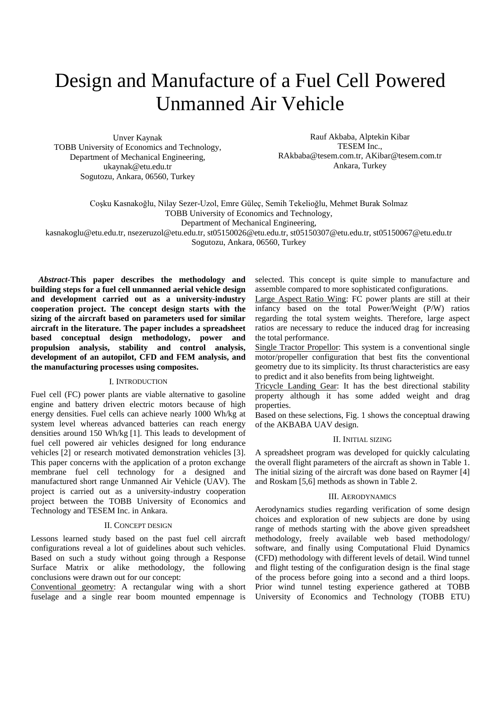# Design and Manufacture of a Fuel Cell Powered Unmanned Air Vehicle

Unver Kaynak TOBB University of Economics and Technology, Department of Mechanical Engineering, ukaynak@etu.edu.tr Sogutozu, Ankara, 06560, Turkey

Rauf Akbaba, Alptekin Kibar TESEM Inc., RAkbaba@tesem.com.tr, AKibar@tesem.com.tr Ankara, Turkey

Coşku Kasnakoğlu, Nilay Sezer-Uzol, Emre Güleç, Semih Tekelioğlu, Mehmet Burak Solmaz TOBB University of Economics and Technology,

Department of Mechanical Engineering,

kasnakoglu@etu.edu.tr, nsezeruzol@etu.edu.tr, st05150026@etu.edu.tr, st05150307@etu.edu.tr, st05150067@etu.edu.tr

Sogutozu, Ankara, 06560, Turkey

*Abstract-***This paper describes the methodology and building steps for a fuel cell unmanned aerial vehicle design and development carried out as a university-industry cooperation project. The concept design starts with the sizing of the aircraft based on parameters used for similar aircraft in the literature. The paper includes a spreadsheet based conceptual design methodology, power and propulsion analysis, stability and control analysis, development of an autopilot, CFD and FEM analysis, and the manufacturing processes using composites.** 

## I. INTRODUCTION

Fuel cell (FC) power plants are viable alternative to gasoline engine and battery driven electric motors because of high energy densities. Fuel cells can achieve nearly 1000 Wh/kg at system level whereas advanced batteries can reach energy densities around 150 Wh/kg [1]. This leads to development of fuel cell powered air vehicles designed for long endurance vehicles [2] or research motivated demonstration vehicles [3]. This paper concerns with the application of a proton exchange membrane fuel cell technology for a designed and manufactured short range Unmanned Air Vehicle (UAV). The project is carried out as a university-industry cooperation project between the TOBB University of Economics and Technology and TESEM Inc. in Ankara.

## II. CONCEPT DESIGN

Lessons learned study based on the past fuel cell aircraft configurations reveal a lot of guidelines about such vehicles. Based on such a study without going through a Response Surface Matrix or alike methodology, the following conclusions were drawn out for our concept:

Conventional geometry: A rectangular wing with a short fuselage and a single rear boom mounted empennage is selected. This concept is quite simple to manufacture and assemble compared to more sophisticated configurations.

Large Aspect Ratio Wing: FC power plants are still at their infancy based on the total Power/Weight (P/W) ratios regarding the total system weights. Therefore, large aspect ratios are necessary to reduce the induced drag for increasing the total performance.

Single Tractor Propellor: This system is a conventional single motor/propeller configuration that best fits the conventional geometry due to its simplicity. Its thrust characteristics are easy to predict and it also benefits from being lightweight.

Tricycle Landing Gear: It has the best directional stability property although it has some added weight and drag properties.

Based on these selections, Fig. 1 shows the conceptual drawing of the AKBABA UAV design.

## II. INITIAL SIZING

A spreadsheet program was developed for quickly calculating the overall flight parameters of the aircraft as shown in Table 1. The initial sizing of the aircraft was done based on Raymer [4] and Roskam [5,6] methods as shown in Table 2.

### III. AERODYNAMICS

Aerodynamics studies regarding verification of some design choices and exploration of new subjects are done by using range of methods starting with the above given spreadsheet methodology, freely available web based methodology/ software, and finally using Computational Fluid Dynamics (CFD) methodology with different levels of detail. Wind tunnel and flight testing of the configuration design is the final stage of the process before going into a second and a third loops. Prior wind tunnel testing experience gathered at TOBB University of Economics and Technology (TOBB ETU)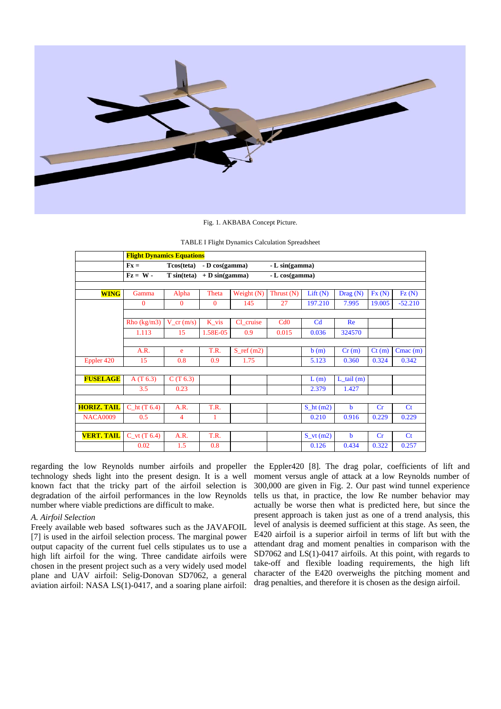

#### Fig. 1. AKBABA Concept Picture.

|                    | <b>Flight Dynamics Equations</b> |                       |                   |                      |                |                |                   |        |                |
|--------------------|----------------------------------|-----------------------|-------------------|----------------------|----------------|----------------|-------------------|--------|----------------|
|                    | $Fx =$                           | Tcos(teta)            | - D cos(gamma)    |                      | - L sin(gamma) |                |                   |        |                |
|                    | $\mathbf{Fz} = \mathbf{W} -$     | $T \sin(\text{teta})$ | $+ D \sin(gamma)$ |                      | - L cos(gamma) |                |                   |        |                |
|                    |                                  |                       |                   |                      |                |                |                   |        |                |
| <b>WING</b>        | Gamma                            | Alpha                 | Theta             | Weight (N)           | Thrust $(N)$   | Lift(N)        | $\text{ Drag}(N)$ | Fx(N)  | FZ(N)          |
|                    | $\mathbf{0}$                     | $\Omega$              | $\Omega$          | 145                  | 27             | 197.210        | 7.995             | 19.005 | $-52.210$      |
|                    |                                  |                       |                   |                      |                |                |                   |        |                |
|                    | Rho (kg/m3)                      | $V_{cr}(m/s)$         | K_vis             | Cl cruise            | Cd0            | C <sub>d</sub> | Re                |        |                |
|                    | 1.113                            | 15                    | 1.58E-05          | 0.9                  | 0.015          | 0.036          | 324570            |        |                |
|                    |                                  |                       |                   |                      |                |                |                   |        |                |
|                    | A.R.                             | e                     | T.R.              | $S_{\text{ref}}(m2)$ |                | b(m)           | Cr(m)             | Ct(m)  | $Cmac$ (m)     |
| Eppler 420         | 15                               | 0.8                   | 0.9               | 1.75                 |                | 5.123          | 0.360             | 0.324  | 0.342          |
|                    |                                  |                       |                   |                      |                |                |                   |        |                |
| <b>FUSELAGE</b>    | A(T 6.3)                         | C(T 6.3)              |                   |                      |                | L(m)           | $L_t$ tail (m)    |        |                |
|                    | 3.5                              | 0.23                  |                   |                      |                | 2.379          | 1.427             |        |                |
|                    |                                  |                       |                   |                      |                |                |                   |        |                |
| <b>HORIZ. TAIL</b> | $Cht$ (T 6.4)                    | A.R.                  | T.R.              |                      |                | $Sht$ (m2)     | $\mathbf b$       | Cr     | C <sub>t</sub> |
| <b>NACA0009</b>    | 0.5                              | $\overline{4}$        | 1                 |                      |                | 0.210          | 0.916             | 0.229  | 0.229          |
|                    |                                  |                       |                   |                      |                |                |                   |        |                |
| <b>VERT. TAIL</b>  | $C_{V}(T 6.4)$                   | A.R.                  | T.R.              |                      |                | $S_v(t(m2))$   | b                 | Cr     | $C_{t}$        |
|                    | 0.02                             | 1.5                   | 0.8               |                      |                | 0.126          | 0.434             | 0.322  | 0.257          |

regarding the low Reynolds number airfoils and propeller the Eppler420 [8]. The drag polar, coefficients of lift and technology sheds light into the present design. It is a well known fact that the tricky part of the airfoil selection is degradation of the airfoil performances in the low Reynolds number where viable predictions are difficult to make.

## *A. Airfoil Selection*

Freely available web based softwares such as the JAVAFOIL [7] is used in the airfoil selection process. The marginal power output capacity of the current fuel cells stipulates us to use a high lift airfoil for the wing. Three candidate airfoils were chosen in the present project such as a very widely used model plane and UAV airfoil: Selig-Donovan SD7062, a general aviation airfoil: NASA LS(1)-0417, and a soaring plane airfoil:

moment versus angle of attack at a low Reynolds number of 300,000 are given in Fig. 2. Our past wind tunnel experience tells us that, in practice, the low Re number behavior may actually be worse then what is predicted here, but since the present approach is taken just as one of a trend analysis, this level of analysis is deemed sufficient at this stage. As seen, the E420 airfoil is a superior airfoil in terms of lift but with the attendant drag and moment penalties in comparison with the SD7062 and LS(1)-0417 airfoils. At this point, with regards to take-off and flexible loading requirements, the high lift character of the E420 overweighs the pitching moment and drag penalties, and therefore it is chosen as the design airfoil.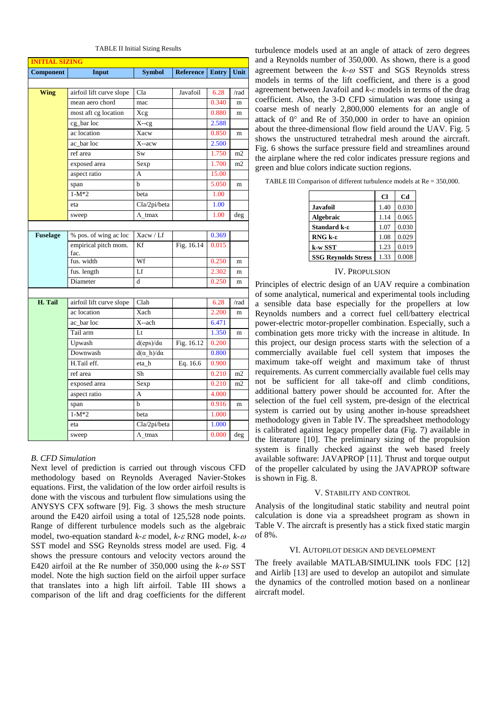| <b>INITIAL SIZING</b> |                              |                         |                  |              |      |
|-----------------------|------------------------------|-------------------------|------------------|--------------|------|
| Component             | Input                        | <b>Symbol</b>           | <b>Reference</b> | <b>Entry</b> | Unit |
|                       |                              |                         |                  |              |      |
| <b>Wing</b>           | airfoil lift curve slope     | Cla                     | Javafoil         | 6.28         | /rad |
|                       | mean aero chord              | mac                     |                  | 0.340        | m    |
|                       | most aft cg location         | Xcg                     |                  | 0.880        | m    |
|                       | cg_bar loc                   | $X-cg$                  |                  | 2.588        |      |
|                       | ac location                  | Xacw                    |                  | 0.850        | m    |
|                       | ac bar loc                   | X--acw                  |                  | 2.500        |      |
|                       | ref area                     | Sw                      |                  | 1.750        | m2   |
|                       | exposed area                 | Sexp                    |                  | 1.700        | m2   |
|                       | aspect ratio                 | A                       |                  | 15.00        |      |
|                       | span                         | b                       |                  | 5.050        | m    |
|                       | $1-M*2$                      | beta                    |                  | 1.00         |      |
|                       | eta                          | Cla/2pi/beta            |                  | 1.00         |      |
|                       | sweep                        | $\Lambda$ tmax          |                  | 1.00         | deg  |
|                       |                              |                         |                  |              |      |
| <b>Fuselage</b>       | % pos. of wing ac loc        | Xacw / Lf               |                  | 0.369        |      |
|                       | empirical pitch mom.<br>fac. | Kf                      | Fig. 16.14       | 0.015        |      |
|                       | fus. width                   | Wf                      |                  | 0.250        | m    |
|                       | fus. length                  | Lf                      |                  | 2.302        | m    |
|                       | Diameter                     | d                       |                  | 0.250        | m    |
|                       |                              |                         |                  |              |      |
| H. Tail               | airfoil lift curve slope     | Clah                    |                  | 6.28         | /rad |
|                       | ac location                  | Xach                    |                  | 2.200        | m    |
|                       | ac bar loc                   | $X$ --ach               |                  | 6.471        |      |
|                       | Tail arm                     | Lt                      |                  | 1.350        | m    |
|                       | Upwash                       | $d(\text{eps})/d\alpha$ | Fig. 16.12       | 0.200        |      |
|                       | Downwash                     | $d(\alpha h)/d\alpha$   |                  | 0.800        |      |
|                       | H.Tail eff.                  | eta_h                   | Eq. 16.6         | 0.900        |      |
|                       | ref area                     | Sh                      |                  | 0.210        | m2   |
|                       | exposed area                 | Sexp                    |                  | 0.210        | m2   |
|                       | aspect ratio                 | A                       |                  | 4.000        |      |
|                       | span                         | b                       |                  | 0.916        | m    |
|                       | $1-M*2$                      | beta                    |                  | 1.000        |      |
|                       | eta                          | Cla/2pi/beta            |                  | 1.000        |      |
|                       | sweep                        | $\Lambda$ tmax          |                  | 0.000        | deg  |

TABLE II Initial Sizing Results

## *B. CFD Simulation*

Next level of prediction is carried out through viscous CFD methodology based on Reynolds Averaged Navier-Stokes equations. First, the validation of the low order airfoil results is done with the viscous and turbulent flow simulations using the ANYSYS CFX software [9]. Fig. 3 shows the mesh structure around the E420 airfoil using a total of 125,528 node points. Range of different turbulence models such as the algebraic model, two-equation standard *k-*<sup>ε</sup> model, *k-*<sup>ε</sup> RNG model, *k-*<sup>ω</sup> SST model and SSG Reynolds stress model are used. Fig. 4 shows the pressure contours and velocity vectors around the E420 airfoil at the Re number of 350,000 using the  $k-\omega$  SST model. Note the high suction field on the airfoil upper surface that translates into a high lift airfoil. Table III shows a comparison of the lift and drag coefficients for the different

turbulence models used at an angle of attack of zero degrees and a Reynolds number of 350,000. As shown, there is a good agreement between the *k-*<sup>ω</sup> SST and SGS Reynolds stress models in terms of the lift coefficient, and there is a good agreement between Javafoil and *k-ε* models in terms of the drag coefficient. Also, the 3-D CFD simulation was done using a coarse mesh of nearly 2,800,000 elements for an angle of attack of 0° and Re of 350,000 in order to have an opinion about the three-dimensional flow field around the UAV. Fig. 5 shows the unstructured tetrahedral mesh around the aircraft. Fig. 6 shows the surface pressure field and streamlines around the airplane where the red color indicates pressure regions and green and blue colors indicate suction regions.

| TABLE III Comparison of different turbulence models at $Re = 350,000$ . |
|-------------------------------------------------------------------------|
|-------------------------------------------------------------------------|

|                            | <b>Cl</b> | Cd    |
|----------------------------|-----------|-------|
| <b>Javafoil</b>            | 1.40      | 0.030 |
| <b>Algebraic</b>           | 1.14      | 0.065 |
| Standard k-ε               | 1.07      | 0.030 |
| RNG $k - \epsilon$         | 1.08      | 0.029 |
| k-w SST                    | 1.23      | 0.019 |
| <b>SSG Reynolds Stress</b> | 1.33      | 0.008 |

#### IV. PROPULSION

Principles of electric design of an UAV require a combination of some analytical, numerical and experimental tools including a sensible data base especially for the propellers at low Reynolds numbers and a correct fuel cell/battery electrical power-electric motor-propeller combination. Especially, such a combination gets more tricky with the increase in altitude. In this project, our design process starts with the selection of a commercially available fuel cell system that imposes the maximum take-off weight and maximum take of thrust requirements. As current commercially available fuel cells may not be sufficient for all take-off and climb conditions, additional battery power should be accounted for. After the selection of the fuel cell system, pre-design of the electrical system is carried out by using another in-house spreadsheet methodology given in Table IV. The spreadsheet methodology is calibrated against legacy propeller data (Fig. 7) available in the literature [10]. The preliminary sizing of the propulsion system is finally checked against the web based freely available software: JAVAPROP [11]. Thrust and torque output of the propeller calculated by using the JAVAPROP software is shown in Fig. 8.

## V. STABILITY AND CONTROL

Analysis of the longitudinal static stability and neutral point calculation is done via a spreadsheet program as shown in Table V. The aircraft is presently has a stick fixed static margin of 8%.

## VI. AUTOPILOT DESIGN AND DEVELOPMENT

The freely available MATLAB/SIMULINK tools FDC [12] and Airlib [13] are used to develop an autopilot and simulate the dynamics of the controlled motion based on a nonlinear aircraft model.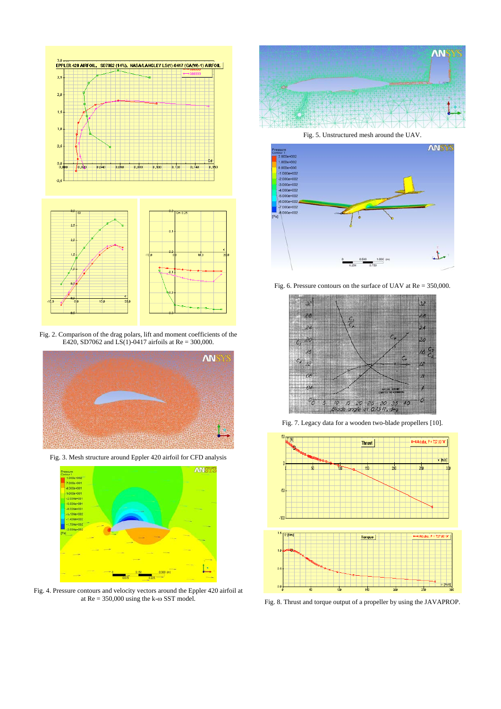

Fig. 2. Comparison of the drag polars, lift and moment coefficients of the E420, SD7062 and LS(1)-0417 airfoils at Re = 300,000.



Fig. 3. Mesh structure around Eppler 420 airfoil for CFD analysis



Fig. 4. Pressure contours and velocity vectors around the Eppler 420 airfoil at at  $Re = 350,000$  using the k- $\omega$  SST model.



Fig. 5. Unstructured mesh around the UAV.



Fig. 6. Pressure contours on the surface of UAV at Re = 350,000.



Fig. 7. Legacy data for a wooden two-blade propellers [10].



Fig. 8. Thrust and torque output of a propeller by using the JAVAPROP.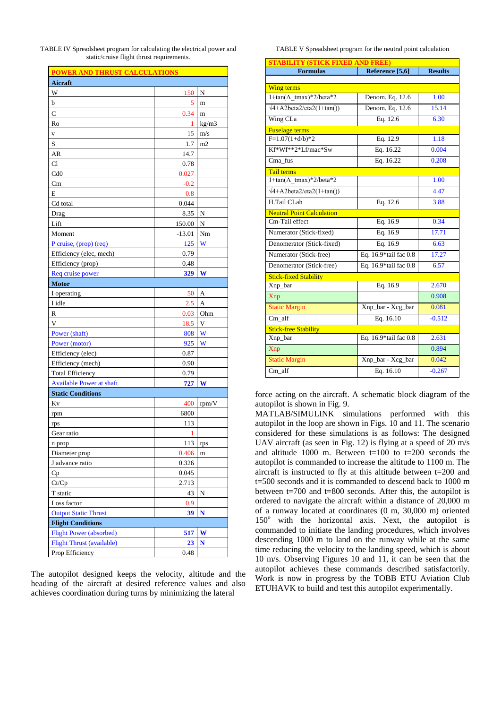TABLE IV Spreadsheet program for calculating the electrical power and static/cruise flight thrust requirements.

| <b>POWER AND THRUST CALCULATIONS</b> |          |       |  |  |
|--------------------------------------|----------|-------|--|--|
| Aicraft                              |          |       |  |  |
| W                                    | 150      | N     |  |  |
| b                                    | 5        | m     |  |  |
| $\mathsf{C}$                         | 0.34     | m     |  |  |
| Ro                                   | 1        | kg/m3 |  |  |
| V                                    | 15       | m/s   |  |  |
| S                                    | 1.7      | m2    |  |  |
| AR                                   | 14.7     |       |  |  |
| Cl                                   | 0.78     |       |  |  |
| Cd0                                  | 0.027    |       |  |  |
| Cm                                   | $-0.2$   |       |  |  |
| E                                    | 0.8      |       |  |  |
| Cd total                             | 0.044    |       |  |  |
| Drag                                 | 8.35     | N     |  |  |
| Lift                                 | 150.00   | N     |  |  |
| Moment                               | $-13.01$ | Nm    |  |  |
| P cruise, (prop) (req)               | 125      | W     |  |  |
| Efficiency (elec, mech)              | 0.79     |       |  |  |
| Efficiency (prop)                    | 0.48     |       |  |  |
| Req cruise power                     | 329      | W     |  |  |
| <b>Motor</b>                         |          |       |  |  |
| I operating                          | 50       | A     |  |  |
| I idle                               | 2.5      | A     |  |  |
| R                                    | 0.03     | Ohm   |  |  |
| V                                    | 18.5     | V     |  |  |
| Power (shaft)                        | 808      | W     |  |  |
| Power (motor)                        | 925      | W     |  |  |
| Efficiency (elec)                    | 0.87     |       |  |  |
| Efficiency (mech)                    | 0.90     |       |  |  |
| <b>Total Efficiency</b>              | 0.79     |       |  |  |
| <b>Available Power at shaft</b>      | 727      | W     |  |  |
| <b>Static Conditions</b>             |          |       |  |  |
| Kv                                   | 400      | rpm/V |  |  |
| rpm                                  | 6800     |       |  |  |
| rps                                  | 113      |       |  |  |
| Gear ratio                           | 1        |       |  |  |
| n prop                               | 113      | rps   |  |  |
| Diameter prop                        | 0.406    | m     |  |  |
| J advance ratio                      | 0.326    |       |  |  |
| Cp                                   | 0.045    |       |  |  |
| Ct/Cp                                | 2.713    |       |  |  |
| T static                             | 43       | N     |  |  |
| Loss factor                          | 0.9      |       |  |  |
| <b>Output Static Thrust</b>          | 39       | N     |  |  |
| <b>Flight Conditions</b>             |          |       |  |  |
| <b>Flight Power (absorbed)</b>       | 517      | W     |  |  |
| <b>Flight Thrust (available)</b>     | 23       | N     |  |  |
| Prop Efficiency                      | 0.48     |       |  |  |
|                                      |          |       |  |  |

The autopilot designed keeps the velocity, altitude and the heading of the aircraft at desired reference values and also achieves coordination during turns by minimizing the lateral

TABLE V Spreadsheet program for the neutral point calculation

| <b>STABILITY (STICK FIXED AND FREE</b> |                          |                |  |  |
|----------------------------------------|--------------------------|----------------|--|--|
| <b>Formulas</b>                        | Reference [5,6]          | <b>Results</b> |  |  |
|                                        |                          |                |  |  |
| <b>Wing terms</b>                      |                          |                |  |  |
| $1 + \tan(\Lambda \tan^*2)$ /beta*2    | Denom. Eq. 12.6          | 1.00           |  |  |
| $\sqrt{4}$ +A2beta2/eta2(1+tan())      | Denom. Eq. 12.6          | 15.14          |  |  |
| Wing CLa                               | Eq. 12.6                 | 6.30           |  |  |
| <b>Fuselage terms</b>                  |                          |                |  |  |
| $\overline{F=1.07(1+d/b)}*2$           | Eq. 12.9                 | 1.18           |  |  |
| Kf*Wf**2*Lf/mac*Sw                     | Eq. 16.22                | 0.004          |  |  |
| Cma fus                                | Eq. 16.22                | 0.208          |  |  |
| <b>Tail terms</b>                      |                          |                |  |  |
| $1 + \tan(\Lambda \tan^*2)$ /beta*2    |                          | 1.00           |  |  |
| $\sqrt{4+A}$ 2beta2/eta2(1+tan())      |                          | 4.47           |  |  |
| H.Tail CLah                            | Eq. 12.6                 | 3.88           |  |  |
| <b>Neutral Point Calculation</b>       |                          |                |  |  |
| Cm-Tail effect                         | Eq. 16.9                 | 0.34           |  |  |
| Numerator (Stick-fixed)                | Eq. 16.9                 | 17.71          |  |  |
| Denomerator (Stick-fixed)              | Eq. 16.9                 | 6.63           |  |  |
| Numerator (Stick-free)                 | Eq. 16.9*tail fac 0.8    | 17.27          |  |  |
| Denomerator (Stick-free)               | Eq. 16.9*tail fac 0.8    | 6.57           |  |  |
| <b>Stick-fixed Stability</b>           |                          |                |  |  |
| Xnp_bar                                | Eq. 16.9                 | 2.670          |  |  |
| Xnp                                    |                          | 0.908          |  |  |
| <b>Static Margin</b>                   | Xnp_bar - Xcg_bar        | 0.081          |  |  |
| Cm alf                                 | Eq. 16.10                | $-0.512$       |  |  |
| <b>Stick-free Stability</b>            |                          |                |  |  |
| Xnp_bar                                | Eq. $16.9*$ tail fac 0.8 | 2.631          |  |  |
| Xnp                                    |                          | 0.894          |  |  |
| <b>Static Margin</b>                   | Xnp_bar - Xcg_bar        | 0.042          |  |  |
| Cm alf                                 | Eq. 16.10                | $-0.267$       |  |  |

force acting on the aircraft. A schematic block diagram of the autopilot is shown in Fig. 9.

MATLAB/SIMULINK simulations performed with this autopilot in the loop are shown in Figs. 10 and 11. The scenario considered for these simulations is as follows: The designed UAV aircraft (as seen in Fig. 12) is flying at a speed of 20 m/s and altitude 1000 m. Between  $t=100$  to  $t=200$  seconds the autopilot is commanded to increase the altitude to 1100 m. The aircraft is instructed to fly at this altitude between t=200 and t=500 seconds and it is commanded to descend back to 1000 m between t=700 and t=800 seconds. After this, the autopilot is ordered to navigate the aircraft within a distance of 20,000 m of a runway located at coordinates (0 m, 30,000 m) oriented 150° with the horizontal axis. Next, the autopilot is commanded to initiate the landing procedures, which involves descending 1000 m to land on the runway while at the same time reducing the velocity to the landing speed, which is about 10 m/s. Observing Figures 10 and 11, it can be seen that the autopilot achieves these commands described satisfactorily. Work is now in progress by the TOBB ETU Aviation Club ETUHAVK to build and test this autopilot experimentally.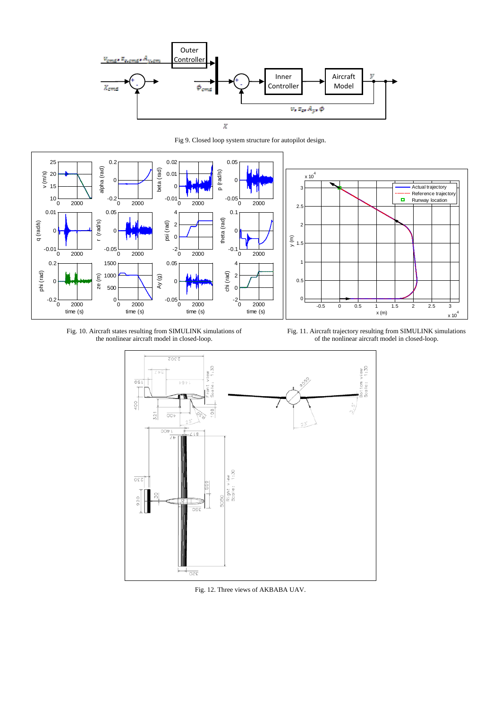

Fig 9. Closed loop system structure for autopilot design.



Fig. 10. Aircraft states resulting from SIMULINK simulations of the nonlinear aircraft model in closed-loop.

Fig. 11. Aircraft trajectory resulting from SIMULINK simulations of the nonlinear aircraft model in closed-loop.



Fig. 12. Three views of AKBABA UAV.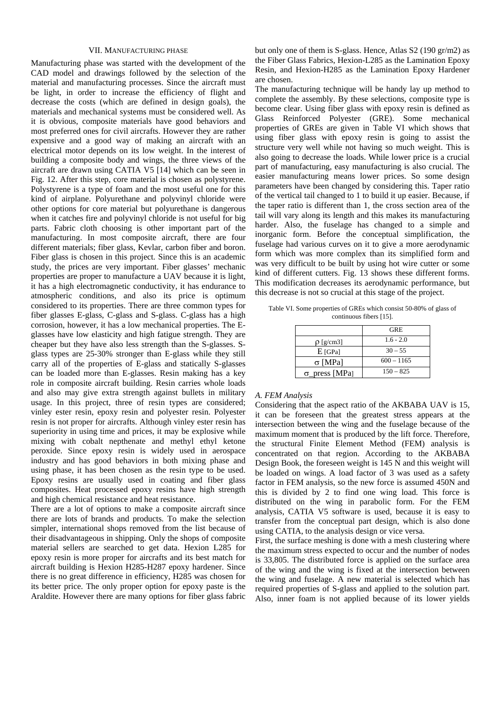## VII. MANUFACTURING PHASE

Manufacturing phase was started with the development of the CAD model and drawings followed by the selection of the material and manufacturing processes. Since the aircraft must be light, in order to increase the efficiency of flight and decrease the costs (which are defined in design goals), the materials and mechanical systems must be considered well. As it is obvious, composite materials have good behaviors and most preferred ones for civil aircrafts. However they are rather expensive and a good way of making an aircraft with an electrical motor depends on its low weight. In the interest of building a composite body and wings, the three views of the aircraft are drawn using CATIA V5 [14] which can be seen in Fig. 12. After this step, core material is chosen as polystyrene. Polystyrene is a type of foam and the most useful one for this kind of airplane. Polyurethane and polyvinyl chloride were other options for core material but polyurethane is dangerous when it catches fire and polyvinyl chloride is not useful for big parts. Fabric cloth choosing is other important part of the manufacturing. In most composite aircraft, there are four different materials; fiber glass, Kevlar, carbon fiber and boron. Fiber glass is chosen in this project. Since this is an academic study, the prices are very important. Fiber glasses' mechanic properties are proper to manufacture a UAV because it is light, it has a high electromagnetic conductivity, it has endurance to atmospheric conditions, and also its price is optimum considered to its properties. There are three common types for fiber glasses E-glass, C-glass and S-glass. C-glass has a high corrosion, however, it has a low mechanical properties. The Eglasses have low elasticity and high fatigue strength. They are cheaper but they have also less strength than the S-glasses. Sglass types are 25-30% stronger than E-glass while they still carry all of the properties of E-glass and statically S-glasses can be loaded more than E-glasses. Resin making has a key role in composite aircraft building. Resin carries whole loads and also may give extra strength against bullets in military usage. In this project, three of resin types are considered; vinley ester resin, epoxy resin and polyester resin. Polyester resin is not proper for aircrafts. Although vinley ester resin has superiority in using time and prices, it may be explosive while mixing with cobalt nepthenate and methyl ethyl ketone peroxide. Since epoxy resin is widely used in aerospace industry and has good behaviors in both mixing phase and using phase, it has been chosen as the resin type to be used. Epoxy resins are usually used in coating and fiber glass composites. Heat processed epoxy resins have high strength and high chemical resistance and heat resistance.

There are a lot of options to make a composite aircraft since there are lots of brands and products. To make the selection simpler, international shops removed from the list because of their disadvantageous in shipping. Only the shops of composite material sellers are searched to get data. Hexion L285 for epoxy resin is more proper for aircrafts and its best match for aircraft building is Hexion H285-H287 epoxy hardener. Since there is no great difference in efficiency, H285 was chosen for its better price. The only proper option for epoxy paste is the Araldite. However there are many options for fiber glass fabric

but only one of them is S-glass. Hence, Atlas S2 (190 gr/m2) as the Fiber Glass Fabrics, Hexion-L285 as the Lamination Epoxy Resin, and Hexion-H285 as the Lamination Epoxy Hardener are chosen.

The manufacturing technique will be handy lay up method to complete the assembly. By these selections, composite type is become clear. Using fiber glass with epoxy resin is defined as Glass Reinforced Polyester (GRE). Some mechanical properties of GREs are given in Table VI which shows that using fiber glass with epoxy resin is going to assist the structure very well while not having so much weight. This is also going to decrease the loads. While lower price is a crucial part of manufacturing, easy manufacturing is also crucial. The easier manufacturing means lower prices. So some design parameters have been changed by considering this. Taper ratio of the vertical tail changed to 1 to build it up easier. Because, if the taper ratio is different than 1, the cross section area of the tail will vary along its length and this makes its manufacturing harder. Also, the fuselage has changed to a simple and inorganic form. Before the conceptual simplification, the fuselage had various curves on it to give a more aerodynamic form which was more complex than its simplified form and was very difficult to be built by using hot wire cutter or some kind of different cutters. Fig. 13 shows these different forms. This modification decreases its aerodynamic performance, but this decrease is not so crucial at this stage of the project.

Table VI. Some properties of GREs which consist 50-80% of glass of continuous fibers [15].

|                      | <b>GRE</b>   |
|----------------------|--------------|
| $\rho$ [g/cm3]       | $1.6 - 2.0$  |
| $E$ [GPa]            | $30 - 55$    |
| $\sigma$ [MPa]       | $600 - 1165$ |
| $\sigma$ press [MPa] | $150 - 825$  |

## *A. FEM Analysis*

Considering that the aspect ratio of the AKBABA UAV is 15, it can be foreseen that the greatest stress appears at the intersection between the wing and the fuselage because of the maximum moment that is produced by the lift force. Therefore, the structural Finite Element Method (FEM) analysis is concentrated on that region. According to the AKBABA Design Book, the foreseen weight is 145 N and this weight will be loaded on wings. A load factor of 3 was used as a safety factor in FEM analysis, so the new force is assumed 450N and this is divided by 2 to find one wing load. This force is distributed on the wing in parabolic form. For the FEM analysis, CATIA V5 software is used, because it is easy to transfer from the conceptual part design, which is also done using CATIA, to the analysis design or vice versa.

First, the surface meshing is done with a mesh clustering where the maximum stress expected to occur and the number of nodes is 33,805. The distributed force is applied on the surface area of the wing and the wing is fixed at the intersection between the wing and fuselage. A new material is selected which has required properties of S-glass and applied to the solution part. Also, inner foam is not applied because of its lower yields